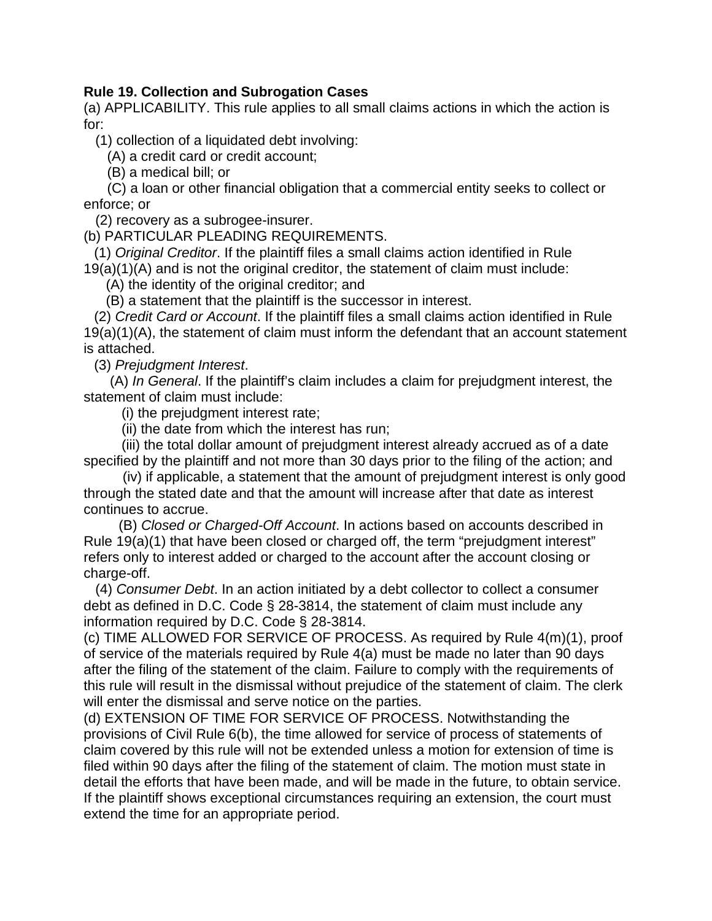## **Rule 19. Collection and Subrogation Cases**

(a) APPLICABILITY. This rule applies to all small claims actions in which the action is for:

(1) collection of a liquidated debt involving:

(A) a credit card or credit account;

(B) a medical bill; or

 (C) a loan or other financial obligation that a commercial entity seeks to collect or enforce; or

(2) recovery as a subrogee-insurer.

(b) PARTICULAR PLEADING REQUIREMENTS.

(1) *Original Creditor*. If the plaintiff files a small claims action identified in Rule 19(a)(1)(A) and is not the original creditor, the statement of claim must include:

(A) the identity of the original creditor; and

(B) a statement that the plaintiff is the successor in interest.

(2) *Credit Card or Account*. If the plaintiff files a small claims action identified in Rule 19(a)(1)(A), the statement of claim must inform the defendant that an account statement is attached.

(3) *Prejudgment Interest*.

(A) *In General*. If the plaintiff's claim includes a claim for prejudgment interest, the statement of claim must include:

(i) the prejudgment interest rate;

(ii) the date from which the interest has run;

 (iii) the total dollar amount of prejudgment interest already accrued as of a date specified by the plaintiff and not more than 30 days prior to the filing of the action; and

 (iv) if applicable, a statement that the amount of prejudgment interest is only good through the stated date and that the amount will increase after that date as interest continues to accrue.

 (B) *Closed or Charged-Off Account*. In actions based on accounts described in Rule 19(a)(1) that have been closed or charged off, the term "prejudgment interest" refers only to interest added or charged to the account after the account closing or charge-off.

 (4) *Consumer Debt*. In an action initiated by a debt collector to collect a consumer debt as defined in D.C. Code § 28-3814, the statement of claim must include any information required by D.C. Code § 28-3814.

(c) TIME ALLOWED FOR SERVICE OF PROCESS. As required by Rule 4(m)(1), proof of service of the materials required by Rule 4(a) must be made no later than 90 days after the filing of the statement of the claim. Failure to comply with the requirements of this rule will result in the dismissal without prejudice of the statement of claim. The clerk will enter the dismissal and serve notice on the parties.

(d) EXTENSION OF TIME FOR SERVICE OF PROCESS. Notwithstanding the provisions of Civil Rule 6(b), the time allowed for service of process of statements of claim covered by this rule will not be extended unless a motion for extension of time is filed within 90 days after the filing of the statement of claim. The motion must state in detail the efforts that have been made, and will be made in the future, to obtain service. If the plaintiff shows exceptional circumstances requiring an extension, the court must extend the time for an appropriate period.